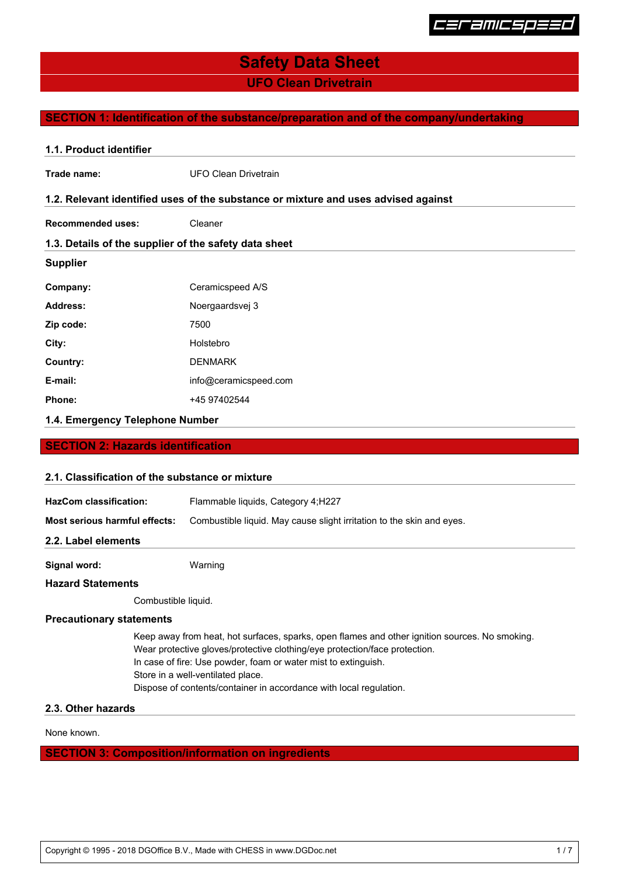

**UFO Clean Drivetrain**

## **SECTION 1: Identification of the substance/preparation and of the company/undertaking**

| 1.1. Product identifier                               |                                                                                    |  |  |  |
|-------------------------------------------------------|------------------------------------------------------------------------------------|--|--|--|
| Trade name:                                           | <b>UFO Clean Drivetrain</b>                                                        |  |  |  |
|                                                       | 1.2. Relevant identified uses of the substance or mixture and uses advised against |  |  |  |
| <b>Recommended uses:</b>                              | Cleaner                                                                            |  |  |  |
| 1.3. Details of the supplier of the safety data sheet |                                                                                    |  |  |  |
| <b>Supplier</b>                                       |                                                                                    |  |  |  |
| Company:                                              | Ceramicspeed A/S                                                                   |  |  |  |
| <b>Address:</b>                                       | Noergaardsvej 3                                                                    |  |  |  |
| Zip code:                                             | 7500                                                                               |  |  |  |
| City:                                                 | Holstebro                                                                          |  |  |  |
| Country:                                              | <b>DENMARK</b>                                                                     |  |  |  |
| E-mail:                                               | info@ceramicspeed.com                                                              |  |  |  |
| Phone:                                                | +45 97402544                                                                       |  |  |  |
| 1.4. Emergency Telephone Number                       |                                                                                    |  |  |  |

#### **SECTION 2: Hazards identification**

## **2.1. Classification of the substance or mixture**

| Signal word:                  | Warning                                                               |  |  |  |
|-------------------------------|-----------------------------------------------------------------------|--|--|--|
| 2.2. Label elements           |                                                                       |  |  |  |
| Most serious harmful effects: | Combustible liquid. May cause slight irritation to the skin and eyes. |  |  |  |
| <b>HazCom classification:</b> | Flammable liquids, Category 4; H227                                   |  |  |  |
|                               |                                                                       |  |  |  |

#### **Hazard Statements**

Combustible liquid.

## **Precautionary statements**

Keep away from heat, hot surfaces, sparks, open flames and other ignition sources. No smoking. Wear protective gloves/protective clothing/eye protection/face protection. In case of fire: Use powder, foam or water mist to extinguish. Store in a well-ventilated place. Dispose of contents/container in accordance with local regulation.

## **2.3. Other hazards**

None known.

## **SECTION 3: Composition/information on ingredients**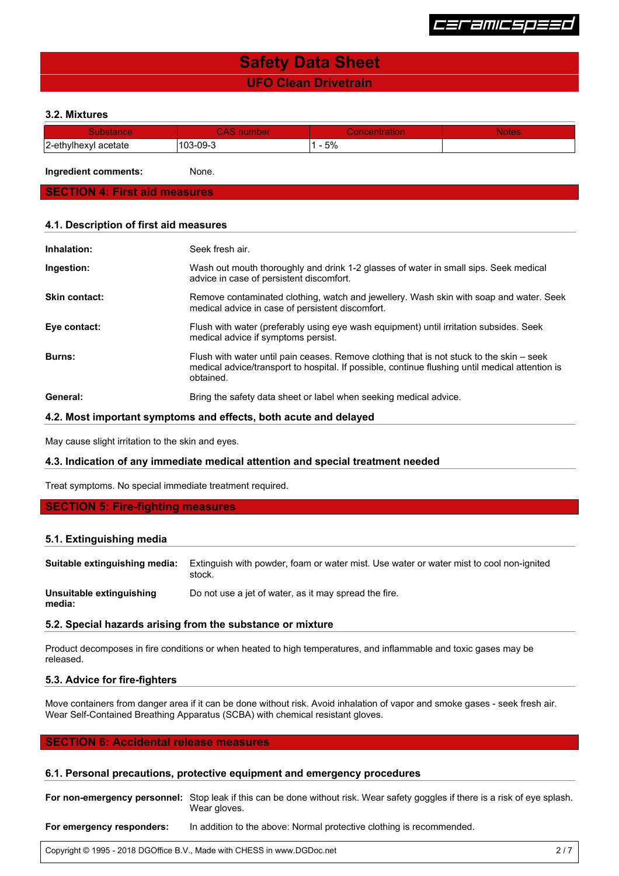

## **UFO Clean Drivetrain Safety Data Sheet**

#### **3.2. Mixtures**

|                                   |              |                          | . |
|-----------------------------------|--------------|--------------------------|---|
| 2-etl<br>acetate<br>TIGY A<br>VII | ററാ<br>−∪ອ−ພ | $-\alpha$<br><u>ບ /0</u> |   |

**Ingredient comments:** None.

## **SECTION 4: First aid measures**

#### **4.1. Description of first aid measures**

| Inhalation:          | Seek fresh air.                                                                                                                                                                                          |
|----------------------|----------------------------------------------------------------------------------------------------------------------------------------------------------------------------------------------------------|
| Ingestion:           | Wash out mouth thoroughly and drink 1-2 glasses of water in small sips. Seek medical<br>advice in case of persistent discomfort.                                                                         |
| <b>Skin contact:</b> | Remove contaminated clothing, watch and jewellery. Wash skin with soap and water. Seek<br>medical advice in case of persistent discomfort.                                                               |
| Eye contact:         | Flush with water (preferably using eye wash equipment) until irritation subsides. Seek<br>medical advice if symptoms persist.                                                                            |
| Burns:               | Flush with water until pain ceases. Remove clothing that is not stuck to the skin – seek<br>medical advice/transport to hospital. If possible, continue flushing until medical attention is<br>obtained. |
| General:             | Bring the safety data sheet or label when seeking medical advice.                                                                                                                                        |

#### **4.2. Most important symptoms and effects, both acute and delayed**

May cause slight irritation to the skin and eyes.

#### **4.3. Indication of any immediate medical attention and special treatment needed**

Treat symptoms. No special immediate treatment required.

## **SECTION 5: Fire-fighting measures**

#### **5.1. Extinguishing media**

**media:**

**Suitable extinguishing media:** Extinguish with powder, foam or water mist. Use water or water mist to cool non-ignited stock. **Unsuitable extinguishing** Do not use a jet of water, as it may spread the fire.

#### **5.2. Special hazards arising from the substance or mixture**

Product decomposes in fire conditions or when heated to high temperatures, and inflammable and toxic gases may be released.

## **5.3. Advice for fire-fighters**

Move containers from danger area if it can be done without risk. Avoid inhalation of vapor and smoke gases - seek fresh air. Wear Self-Contained Breathing Apparatus (SCBA) with chemical resistant gloves.

## **SECTION 6: Accidental release measures**

### **6.1. Personal precautions, protective equipment and emergency procedures**

**For non-emergency personnel:** Stop leak if this can be done without risk. Wear safety goggles if there is a risk of eye splash. Wear gloves.

For emergency responders: In addition to the above: Normal protective clothing is recommended.

Copyright © 1995 - 2018 DGOffice B.V., Made with CHESS in www.DGDoc.net 2 / 7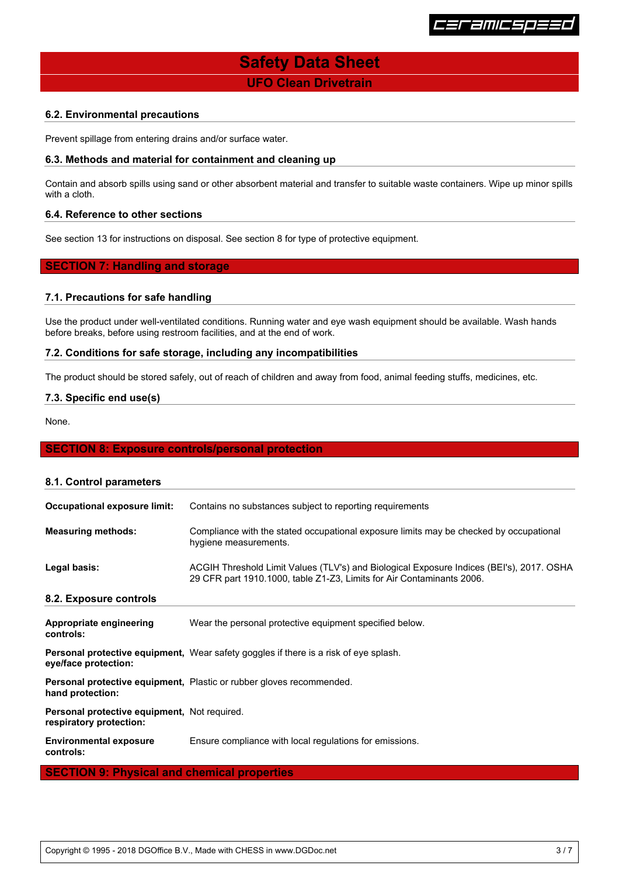

**UFO Clean Drivetrain**

## **6.2. Environmental precautions**

Prevent spillage from entering drains and/or surface water.

### **6.3. Methods and material for containment and cleaning up**

Contain and absorb spills using sand or other absorbent material and transfer to suitable waste containers. Wipe up minor spills with a cloth.

## **6.4. Reference to other sections**

See section 13 for instructions on disposal. See section 8 for type of protective equipment.

## **SECTION 7: Handling and storage**

#### **7.1. Precautions for safe handling**

Use the product under well-ventilated conditions. Running water and eye wash equipment should be available. Wash hands before breaks, before using restroom facilities, and at the end of work.

#### **7.2. Conditions for safe storage, including any incompatibilities**

The product should be stored safely, out of reach of children and away from food, animal feeding stuffs, medicines, etc.

## **7.3. Specific end use(s)**

None.

#### **SECTION 8: Exposure controls/personal protection**

| 8.1. Control parameters                                                 |                                                                                                                                                                   |
|-------------------------------------------------------------------------|-------------------------------------------------------------------------------------------------------------------------------------------------------------------|
| <b>Occupational exposure limit:</b>                                     | Contains no substances subject to reporting requirements                                                                                                          |
| <b>Measuring methods:</b>                                               | Compliance with the stated occupational exposure limits may be checked by occupational<br>hygiene measurements.                                                   |
| Legal basis:                                                            | ACGIH Threshold Limit Values (TLV's) and Biological Exposure Indices (BEI's), 2017. OSHA<br>29 CFR part 1910.1000, table Z1-Z3, Limits for Air Contaminants 2006. |
| 8.2. Exposure controls                                                  |                                                                                                                                                                   |
| Appropriate engineering<br>controls:                                    | Wear the personal protective equipment specified below.                                                                                                           |
| eye/face protection:                                                    | <b>Personal protective equipment,</b> Wear safety goggles if there is a risk of eye splash.                                                                       |
| hand protection:                                                        | <b>Personal protective equipment, Plastic or rubber gloves recommended.</b>                                                                                       |
| Personal protective equipment, Not required.<br>respiratory protection: |                                                                                                                                                                   |
| <b>Environmental exposure</b><br>controls:                              | Ensure compliance with local regulations for emissions.                                                                                                           |
| <u> Amarika Bilingeri</u>                                               | the contract of the contract of the contract of the contract of the contract of                                                                                   |

#### **SECTION 9: Physical and chemical properties**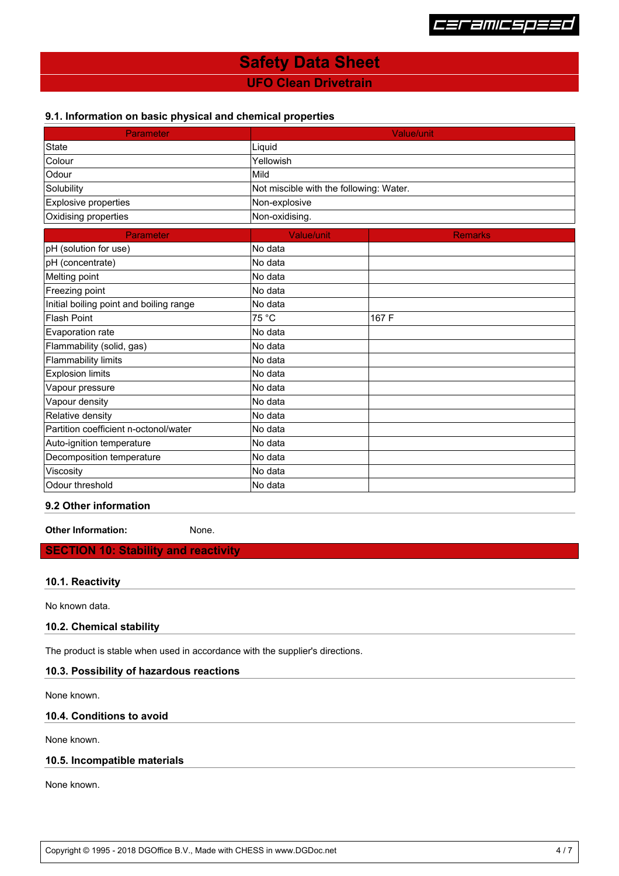

## **UFO Clean Drivetrain**

## **9.1. Information on basic physical and chemical properties**

| <b>Parameter</b>                        | <b>Value/unit</b>                       |                |  |
|-----------------------------------------|-----------------------------------------|----------------|--|
| State                                   | Liquid                                  |                |  |
| Colour                                  | Yellowish                               |                |  |
| Odour                                   | Mild                                    |                |  |
| Solubility                              | Not miscible with the following: Water. |                |  |
| Explosive properties                    | Non-explosive                           |                |  |
| Oxidising properties                    | Non-oxidising.                          |                |  |
| Parameter                               | Value/unit                              | <b>Remarks</b> |  |
| pH (solution for use)                   | No data                                 |                |  |
| pH (concentrate)                        | No data                                 |                |  |
| Melting point                           | No data                                 |                |  |
| Freezing point                          | No data                                 |                |  |
| Initial boiling point and boiling range | No data                                 |                |  |
| <b>Flash Point</b>                      | 75 °C                                   | 167 F          |  |
| Evaporation rate                        | No data                                 |                |  |
| Flammability (solid, gas)               | No data                                 |                |  |
| <b>Flammability limits</b>              | No data                                 |                |  |
| <b>Explosion limits</b>                 | No data                                 |                |  |
| Vapour pressure                         | No data                                 |                |  |
| Vapour density                          | No data                                 |                |  |
| Relative density                        | No data                                 |                |  |
| Partition coefficient n-octonol/water   | No data                                 |                |  |
| Auto-ignition temperature               | No data                                 |                |  |
| Decomposition temperature               | No data                                 |                |  |
| Viscosity                               | No data                                 |                |  |
| Odour threshold                         | No data                                 |                |  |

## **9.2 Other information**

**Other Information:** None.

## **SECTION 10: Stability and reactivity**

## **10.1. Reactivity**

No known data.

**10.2. Chemical stability**

The product is stable when used in accordance with the supplier's directions.

## **10.3. Possibility of hazardous reactions**

None known.

## **10.4. Conditions to avoid**

None known.

## **10.5. Incompatible materials**

None known.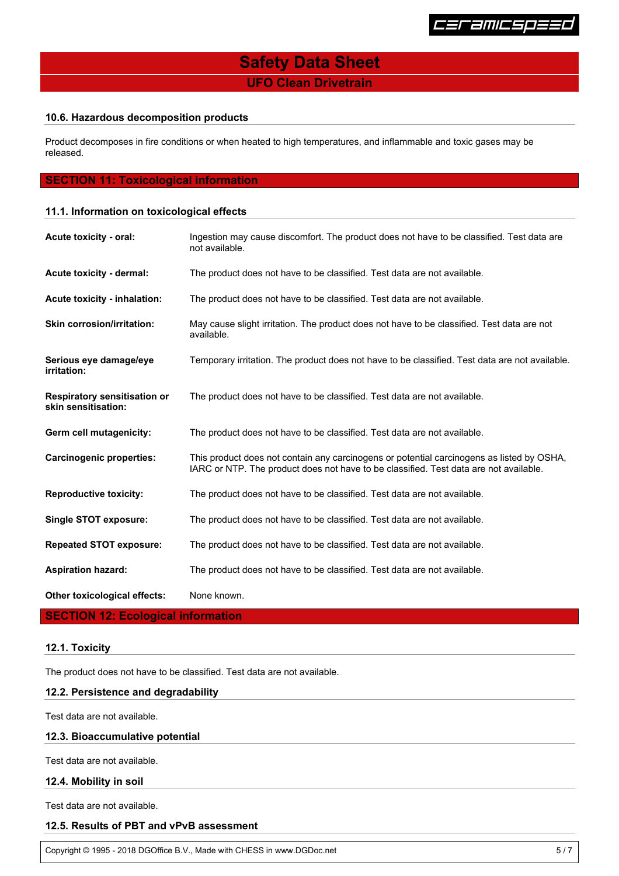

**UFO Clean Drivetrain**

## **10.6. Hazardous decomposition products**

Product decomposes in fire conditions or when heated to high temperatures, and inflammable and toxic gases may be released.

## **SECTION 11: Toxicological information**

## **11.1. Information on toxicological effects**

| Acute toxicity - oral:                                     | Ingestion may cause discomfort. The product does not have to be classified. Test data are<br>not available.                                                                        |  |  |  |
|------------------------------------------------------------|------------------------------------------------------------------------------------------------------------------------------------------------------------------------------------|--|--|--|
| <b>Acute toxicity - dermal:</b>                            | The product does not have to be classified. Test data are not available.                                                                                                           |  |  |  |
| Acute toxicity - inhalation:                               | The product does not have to be classified. Test data are not available.                                                                                                           |  |  |  |
| <b>Skin corrosion/irritation:</b>                          | May cause slight irritation. The product does not have to be classified. Test data are not<br>available.                                                                           |  |  |  |
| Serious eye damage/eye<br><i>irritation:</i>               | Temporary irritation. The product does not have to be classified. Test data are not available.                                                                                     |  |  |  |
| <b>Respiratory sensitisation or</b><br>skin sensitisation: | The product does not have to be classified. Test data are not available.                                                                                                           |  |  |  |
| Germ cell mutagenicity:                                    | The product does not have to be classified. Test data are not available.                                                                                                           |  |  |  |
| <b>Carcinogenic properties:</b>                            | This product does not contain any carcinogens or potential carcinogens as listed by OSHA,<br>IARC or NTP. The product does not have to be classified. Test data are not available. |  |  |  |
| <b>Reproductive toxicity:</b>                              | The product does not have to be classified. Test data are not available.                                                                                                           |  |  |  |
| <b>Single STOT exposure:</b>                               | The product does not have to be classified. Test data are not available.                                                                                                           |  |  |  |
| <b>Repeated STOT exposure:</b>                             | The product does not have to be classified. Test data are not available.                                                                                                           |  |  |  |
| <b>Aspiration hazard:</b>                                  | The product does not have to be classified. Test data are not available.                                                                                                           |  |  |  |
| Other toxicological effects:                               | None known.                                                                                                                                                                        |  |  |  |

## **SECTION 12: Ecological information**

## **12.1. Toxicity**

The product does not have to be classified. Test data are not available.

## **12.2. Persistence and degradability**

Test data are not available.

## **12.3. Bioaccumulative potential**

Test data are not available.

## **12.4. Mobility in soil**

Test data are not available.

## **12.5. Results of PBT and vPvB assessment**

Copyright © 1995 - 2018 DGOffice B.V., Made with CHESS in www.DGDoc.net 5 / 7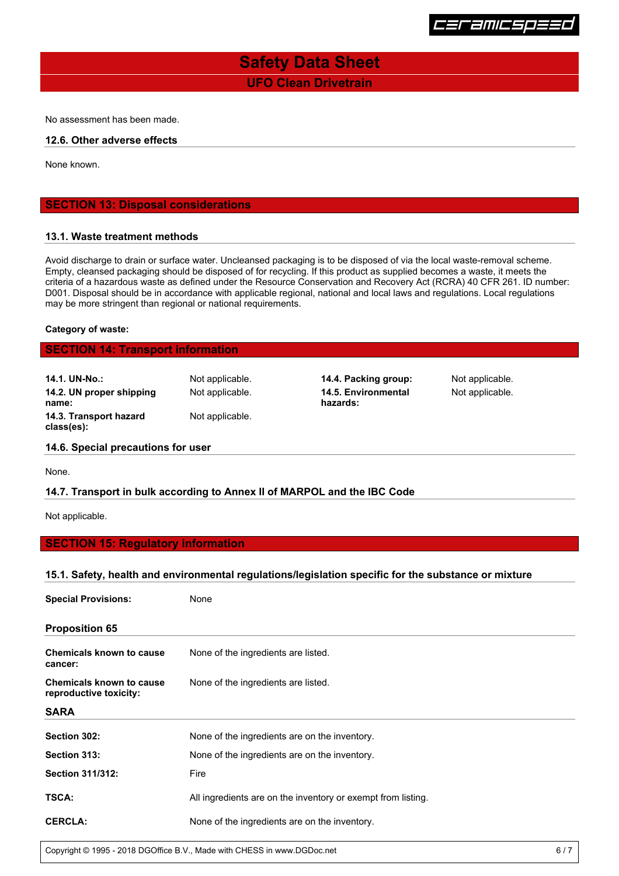

## **UFO Clean Drivetrain Safety Data Sheet**

No assessment has been made.

#### **12.6. Other adverse effects**

None known.

## **SECTION 13: Disposal considerations**

#### **13.1. Waste treatment methods**

Avoid discharge to drain or surface water. Uncleansed packaging is to be disposed of via the local waste-removal scheme. Empty, cleansed packaging should be disposed of for recycling. If this product as supplied becomes a waste, it meets the criteria of a hazardous waste as defined under the Resource Conservation and Recovery Act (RCRA) 40 CFR 261. ID number: D001. Disposal should be in accordance with applicable regional, national and local laws and regulations. Local regulations may be more stringent than regional or national requirements.

#### **Category of waste:**

## **SECTION 14: Transport information**

| 14.1. UN-No.:            | Not applicable. |
|--------------------------|-----------------|
| 14.2. UN proper shipping | Not applicable. |
| name:                    |                 |
| 14.3. Transport hazard   | Not applicable. |
| class(es):               |                 |

**14.4. Packing group:** Not applicable. Not applicable. **14.5. Environmental hazards:**

Not applicable.

#### **14.6. Special precautions for user**

None.

### **14.7. Transport in bulk according to Annex II of MARPOL and the IBC Code**

Not applicable.

## **SECTION 15: Regulatory information**

#### **15.1. Safety, health and environmental regulations/legislation specific for the substance or mixture**

| <b>Special Provisions:</b>                                | None                                                         |  |  |
|-----------------------------------------------------------|--------------------------------------------------------------|--|--|
| <b>Proposition 65</b>                                     |                                                              |  |  |
| <b>Chemicals known to cause</b><br>cancer:                | None of the ingredients are listed.                          |  |  |
| <b>Chemicals known to cause</b><br>reproductive toxicity: | None of the ingredients are listed.                          |  |  |
| <b>SARA</b>                                               |                                                              |  |  |
| Section 302:                                              | None of the ingredients are on the inventory.                |  |  |
| Section 313:                                              | None of the ingredients are on the inventory.                |  |  |
| <b>Section 311/312:</b>                                   | Fire                                                         |  |  |
| TSCA:                                                     | All ingredients are on the inventory or exempt from listing. |  |  |
| <b>CERCLA:</b>                                            | None of the ingredients are on the inventory.                |  |  |

Copyright © 1995 - 2018 DGOffice B.V., Made with CHESS in www.DGDoc.net 6 / 7